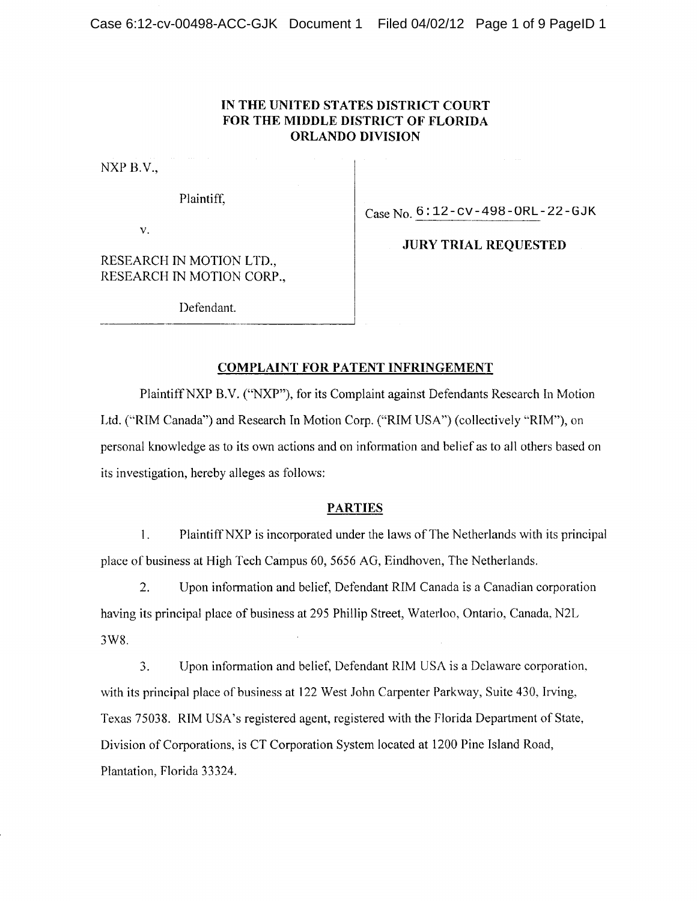## **IN THE UNITED STATES DISTRICT COURT FOR THE MIDDLE DISTRICT OF FLORIDA ORLANDO DIVISION**

 $NXP B.V.,$ 

Plaintiff;

Case No.  $6:12$ -cv-498-ORL-22-GJK

V.

RESEARCH IN MOTION LTD., RESEARCH IN MOTION CORP.,

Defendant.

## **JURY TRIAL REQUESTED**

## **COMPLAINT FOR PATENT INFRINGEMENT**

Plaintiff NXP B.V. ("NXP"), for its Complaint against Defendants Research In Motion Ltd. ("RIM Canada") and Research In Motion Corp. ("RIM USA") (collectively "RIM"), on personal knowledge as to its own actions and on information and belief as to all others based on its investigation, hereby alleges as follows:

### **PARTIES**

1. Plaintiff NXP is incorporated under the laws of The Netherlands with its principal place of business at High Tech Campus 60, 5656 AG, Eindhoven, The Netherlands.

2. Upon information and belief, Defendant RIM Canada is a Canadian corporation having its principal place of business at 295 Phillip Street, Waterloo, Ontario, Canada, N2L 3W8.

3. Upon information and belief, Defendant RIM USA is a Delaware corporation, with its principal place of business at 122 West John Carpenter Parkway, Suite 430, Irving, Texas 75038. RIM USA's registered agent, registered with the Florida Department of State, Division of Corporations, is CT Corporation System located at 1200 Pine Island Road, Plantation, Florida 33324.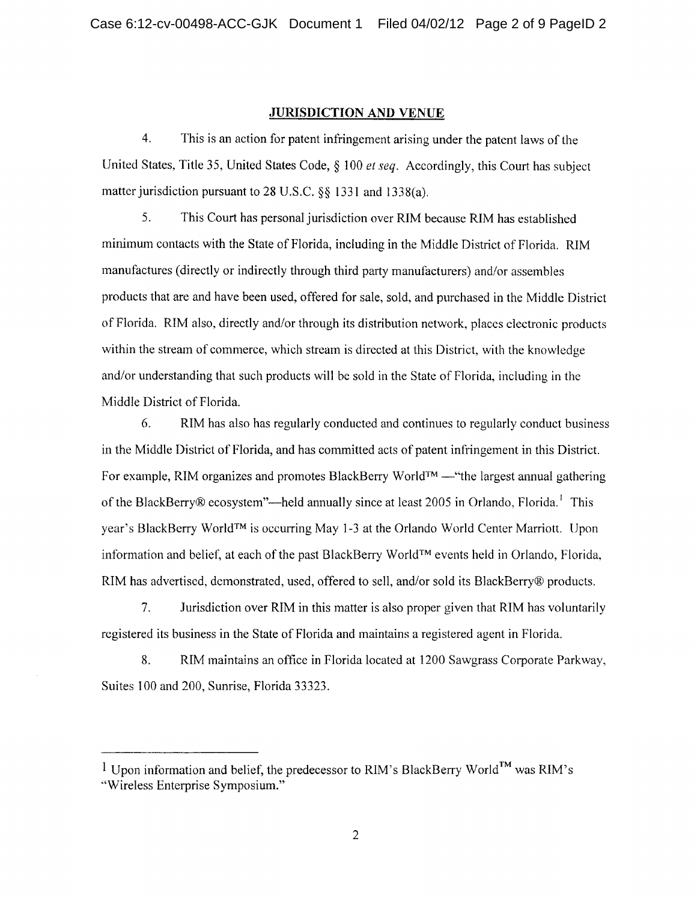### **JURISDICTION AND VENUE**

4. This is an action for patent infringement arising under the patent laws of the United States, Title 35, United States Code, § 100 *et seq.* Accordingly, this Court has subject matter jurisdiction pursuant to 28 U.S.C. §§ 1331 and I338(a).

5. This Court has personal jurisdiction over RIM because RIM has established minimum contacts with the State of Florida, including in the Middle District of Florida. RIM manufactures (directly or indirectly through third party manufacturers) and/or assembles products that are and have been used, offered for sale, sold, and purchased in the Middle District of Florida. RIM also, directly and/or through its distribution network, places electronic products within the stream of commerce, which stream is directed at this District, with the knowledge and/or understanding that such products will be sold in the State of Florida, including in the Middle District of Florida.

6. RIM has also has regularly conducted and continues to regularly conduct business in the Middle District of Florida, and has committed acts of patent infringement in this District. For example, RIM organizes and promotes BlackBerry WorIdTM —"the largest annual gathering of the BlackBerry® ecosystem"—held annually since at least 2005 in Orlando, Florida.' This year's BlackBerry WorldTM is occurring May 1-3 at the Orlando World Center Marriott. Upon information and belief, at each of the past BlackBerry WorldTM events held in Orlando, Florida, RIM has advertised, demonstrated, used, offered to sell, and/or sold its BlackBerry® products.

7. Jurisdiction over RIM in this matter is also proper given that RIM has voluntarily registered its business in the State of Florida and maintains a registered agent in Florida.

8. RIM maintains an office in Florida located at 1200 Sawgrass Corporate Parkway, Suites 100 and 200, Sunrise, Florida 33323.

<sup>&</sup>lt;sup>1</sup> Upon information and belief, the predecessor to RIM's BlackBerry World<sup>TM</sup> was RIM's

<sup>&</sup>quot;Wireless Enterprise Symposium."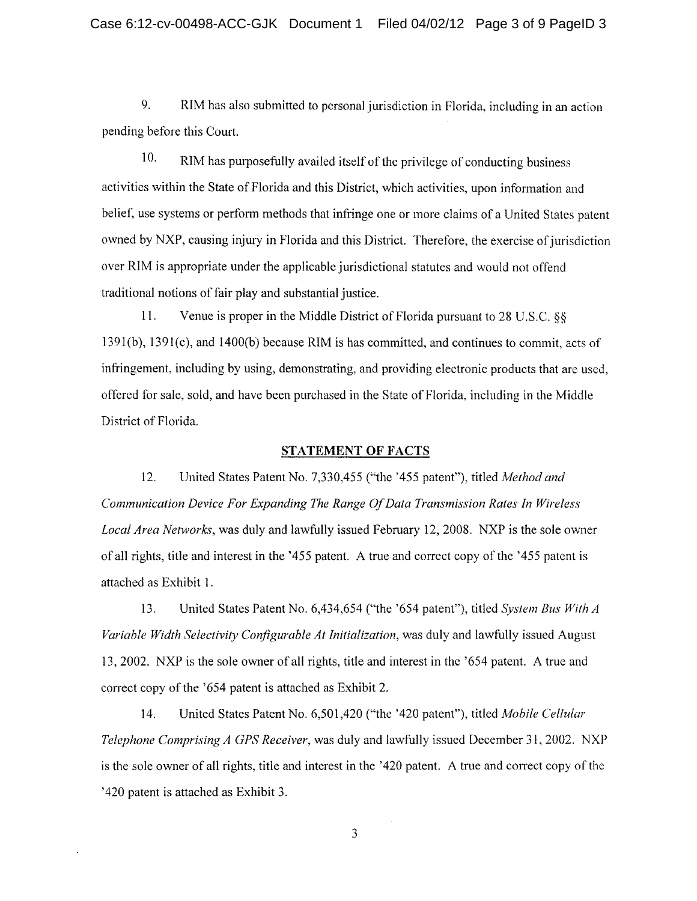9. RIM has also submitted to personal jurisdiction in Florida, including in an action pending before this Court.

10. RIM has purposefully availed itself of the privilege of conducting business activities within the State of Florida and this District, which activities, upon information and belief, use systems or perform methods that infringe one or more claims of a United States patent owned by NXP, causing injury in Florida and this District. Therefore, the exercise of jurisdiction over RIM is appropriate under the applicable jurisdictional statutes and would not offend traditional notions of fair play and substantial justice.

11. Venue is proper in the Middle District of Florida pursuant to 28 U.S.C. §§ 1391(b), 1391(c), and 1400(b) because RIM is has committed, and continues to commit, acts of infringement, including by using, demonstrating, and providing electronic products that are used, offered for sale, sold, and have been purchased in the State of Florida, including in the Middle District of Florida.

#### **STATEMENT OF FACTS**

12. United States Patent No. 7,330,455 ("the '455 patent"), titled *Method and Communication Device For Expanding The Range Of Data Transmission Rates In Wireless Local Area Networks* was duly and lawfully issued February 12, 2008. NXP is the sole owner of all rights, title and interest in the '455 patent. A true and correct copy of the '455 patent is attached as Exhibit I.

13. United States Patent No. 6,434,654 ("the '654 patent"), titled *System Bus With A Variable Width Selectivity Configurable At Initialization,* was duly and lawfully issued August 13, 2002. NXP is the sole owner of all rights, title and interest in the '654 patent. A true and correct copy of the '654 patent is attached as Exhibit 2.

14. United States Patent No. 6,501,420 ("the '420 patent"), titled *Mobile Cellular Telephone Comprising A GPS Receiver,* was duly and lawfully issued December 31, 2002. NXP is the sole owner of all rights, title and interest in the '420 patent. A true and correct copy of the '420 patent is attached as Exhibit 3.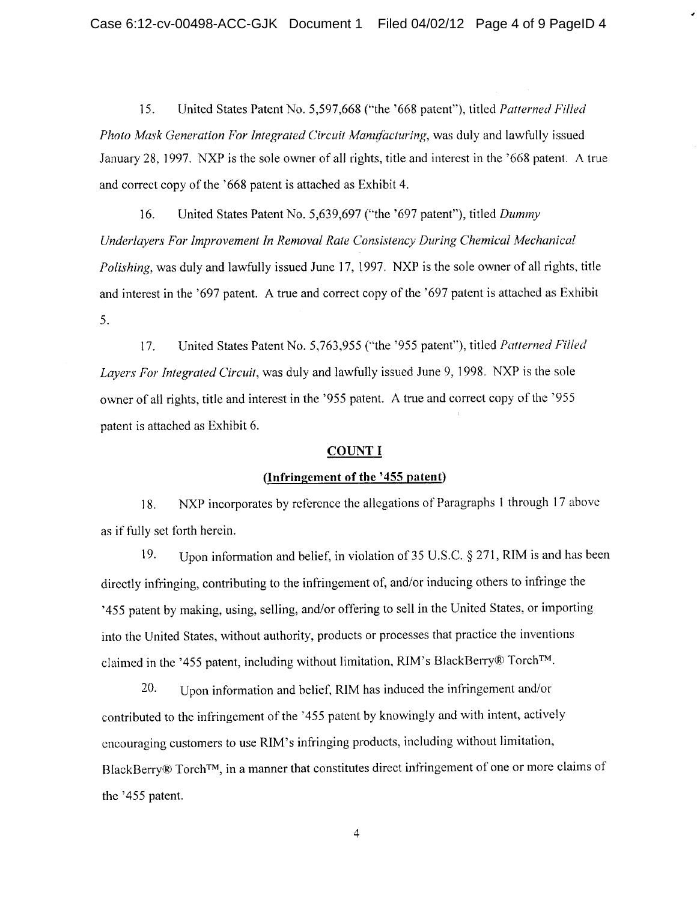15. United States Patent No. 5,597,668 ("the '668 patent"), titled *Patterned Filled Photo Mask Generation For Integrated Circuit Manufacturing,* was duly and lawfully issued January 28, 1997. NXP is the sole owner of all rights, title and interest in the '668 patent. A true and correct copy of the '668 patent is attached as Exhibit 4.

16. United States Patent No. 5,639,697 ("the '697 patent"), titled *Dummy Underlayers For Improvement In Removal Rate Consistency During Chemical Mechanical Polishing,* was duly and lawfully issued June 17, 1997. NXP is the sole owner of all rights, title and interest in the '697 patent. A true and correct copy of the '697 patent is attached as Exhibit 5.

17. United States Patent No. 5,763,955 ("the '955 patent"), titled *Patterned Filled Layers For Integrated Circuit,* was duly and lawfully issued June 9, 1998. NXP is the sole owner of all rights, title and interest in the '955 patent. A true and correct copy of the '955 patent is attached as Exhibit 6.

### **COUNT I**

#### **(Infringement of the '455 patent)**

18. NXP incorporates by reference the allegations of Paragraphs 1 through 17 above as if fully set forth herein.

19. Upon information and belief, in violation of 35 U.S.C. § 271, RIM is and has been directly infringing, contributing to the infringement of, and/or inducing others to infringe the '455 patent by making, using, selling, and/or offering to sell in the United States, or importing into the United States, without authority, products or processes that practice the inventions claimed in the '455 patent, including without limitation, RIM's BlackBerry® Torch<sup>TM</sup>.

20. Upon information and belief, RIM has induced the infringement and/or contributed to the infringement of the '455 patent by knowingly and with intent, actively encouraging customers to use RIM's infringing products, including without limitation, BlackBerry® Torch<sup>TM</sup>, in a manner that constitutes direct infringement of one or more claims of the '455 patent.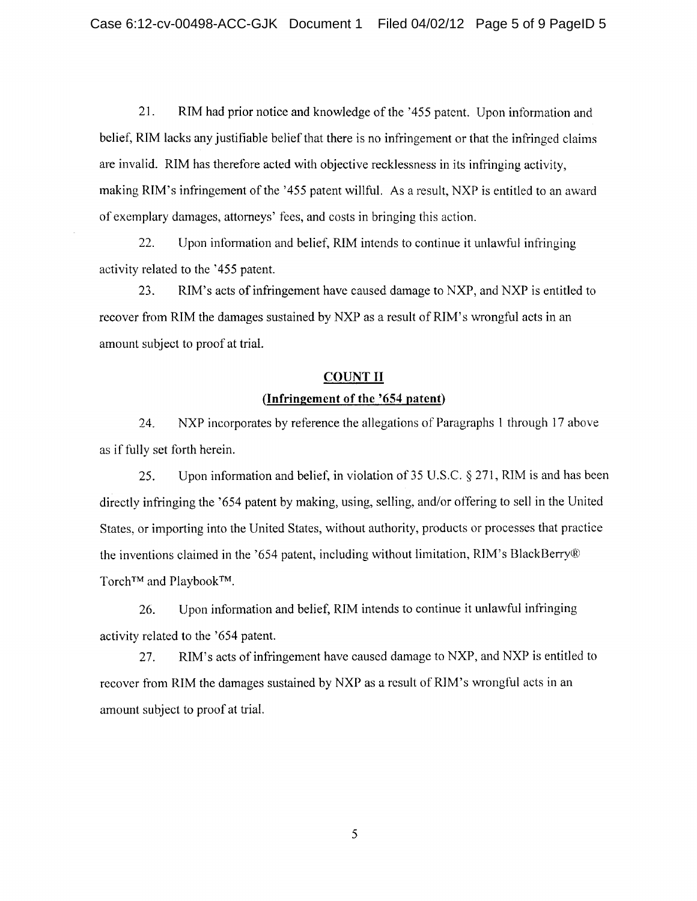21. RIM had prior notice and knowledge of the '455 patent. Upon information and belief, RIM lacks any justifiable belief that there is no infringement or that the infringed claims are invalid. RIM has therefore acted with objective recklessness in its infringing activity, making RIM's infringement of the '455 patent willful. As a result, NXP is entitled to an award of exemplary damages, attorneys' fees, and costs in bringing this action.

22. Upon information and belief, RIM intends to continue it unlawful infringing activity related to the '455 patent.

23. RIM's acts of infringement have caused damage to NXP, and NXP is entitled to recover from RIM the damages sustained by NXP as a result of RIM's wrongful acts in an amount subject to proof at trial.

## **COUNT II (Infringement of the '654 patent)**

NXP incorporates by reference the allegations of Paragraphs 1 through 17 above 24. as if fully set forth herein.

25. Upon information and belief, in violation of 35 U.S.C. § 271, RIM is and has been directly infringing the '654 patent by making, using, selling, and/or offering to sell in the United States, or importing into the United States, without authority, products or processes that practice the inventions claimed in the '654 patent, including without limitation, RIM's BlackBerryg Torch<sup>™</sup> and Playbook<sup>™</sup>.

26. Upon information and belief, RIM intends to continue it unlawful infringing activity related to the '654 patent.

27. RIM's acts of infringement have caused damage to NXP, and NXP is entitled to recover from RIM the damages sustained by NXP as a result of RIM's wrongful acts in an amount subject to proof at trial.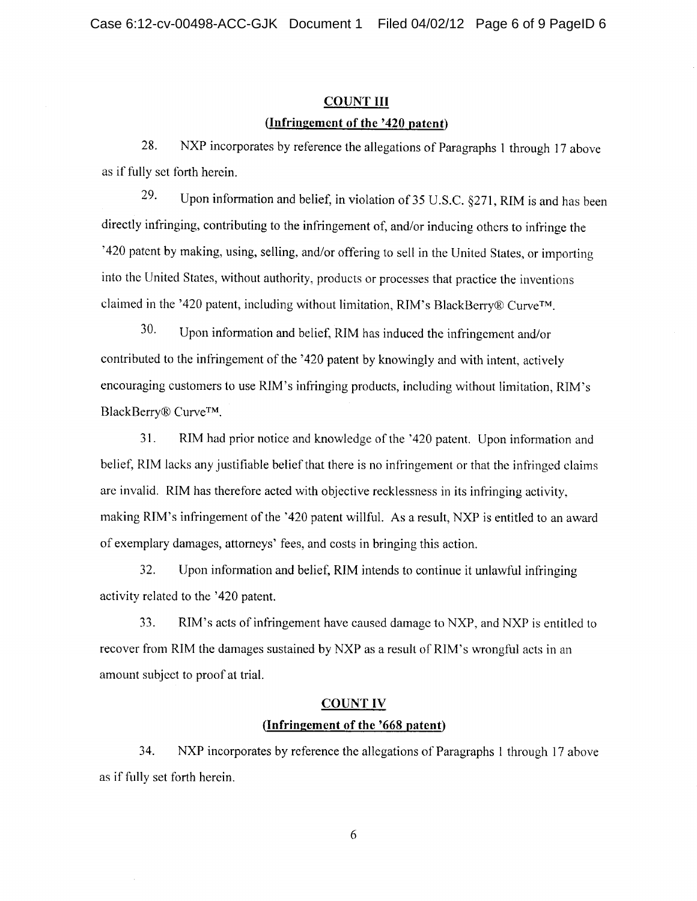## **COUNT III (Infringement of the '420 patent)**

28. NXP incorporates by reference the allegations of Paragraphs 1 through 17 above as if fully set forth herein.

<sup>29.</sup> Upon information and belief, in violation of 35 U.S.C.  $\S$ 271, RIM is and has been directly infringing, contributing to the infringement of, and/or inducing others to infringe the '420 patent by making, using, selling, and/or offering to sell in the United States, or importing into the United States, without authority, products or processes that practice the inventions claimed in the '420 patent, including without limitation, RIM's BlackBerry® Curve™.

30- Upon information and belief, RIM has induced the infringement and/or contributed to the infringement of the '420 patent by knowingly and with intent, actively encouraging customers to use RIM's infringing products, including without limitation, R1M's BlackBerry® Curve<sup>TM</sup>.

31. RIM had prior notice and knowledge of the '420 patent. Upon information and belief, RIM lacks any justifiable belief that there is no infringement or that the infringed claims are invalid. RIM has therefore acted with objective recklessness in its infringing activity. making RIM's infringement of the '420 patent willful. As a result, NXP is entitled to an award of exemplary damages, attorneys' fees, and costs in bringing this action.

32. Upon information and belief, RIM intends to continue it unlawful infringing activity related to the '420 patent.

33. RIM's acts of infringement have caused damage to NXP, and NXP is entitled to recover from RIM the damages sustained by NXP as a result of R1M's wrongful acts in an amount subject to proof at trial.

### COUNT IV

#### **(Infringement of the '668 patent)**

34. NXP incorporates by reference the allegations of Paragraphs 1 through 17 above as if fully set forth herein.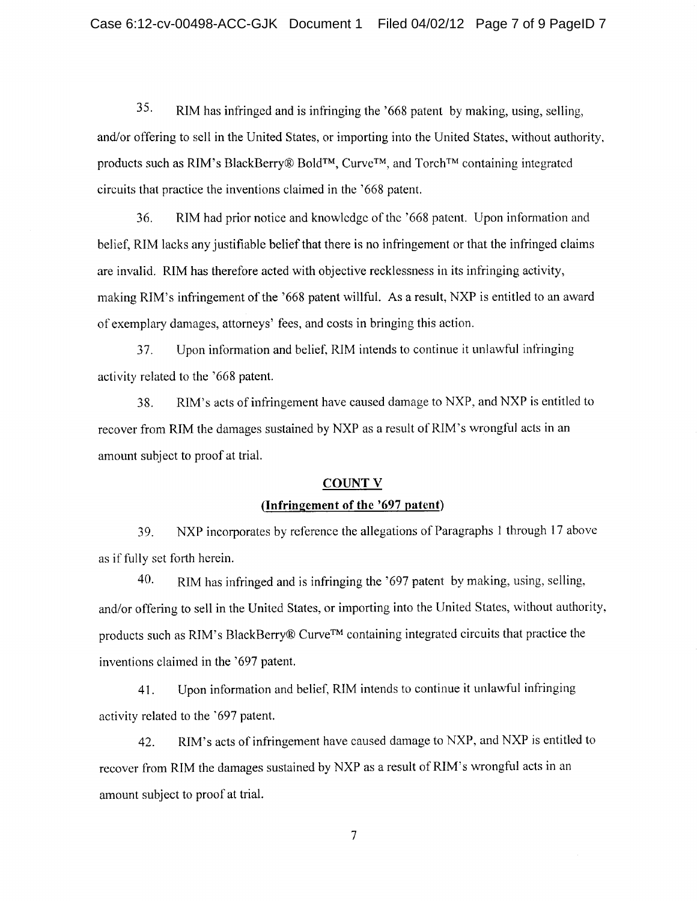35. RIM has infringed and is infringing the '668 patent by making, using, selling, and/or offering to sell in the United States, or importing into the United States, without authority. products such as RIM's BlackBerry® Bold™, Curve<sup>™</sup>, and Torch<sup>™</sup> containing integrated circuits that practice the inventions claimed in the '668 patent.

36. RIM had prior notice and knowledge of the '668 patent. Upon information and belief, RIM lacks any justifiable belief that there is no infringement or that the infringed claims are invalid. RIM has therefore acted with objective recklessness in its infringing activity, making RIM's infringement of the '668 patent willful. As a result, NXP is entitled to an award of exemplary damages, attorneys' fees, and costs in bringing this action.

37. Upon information and belief, RIM intends to continue it unlawful infringing activity related to the '668 patent.

38. RIM's acts of infringement have caused damage to NXP, and NXP is entitled to recover from RIM the damages sustained by NXP as a result of RIM's wrongful acts in an amount subject to proof at trial.

#### **COUNT** V

#### **(Infringement of the '697 patent)**

39. NXP incorporates by reference the allegations of Paragraphs 1 through 17 above as if fully set forth herein.

40. RIM has infringed and is infringing the '697 patent by making, using, selling, and/or offering to sell in the United States, or importing into the United States, without authority, products such as RIM's BlackBerry® CurveTM containing integrated circuits that practice the inventions claimed in the '697 patent.

41. Upon information and belief, RIM intends to continue it unlawful infringing activity related to the '697 patent.

42. RIM's acts of infringement have caused damage to NXP, and NXP is entitled to recover from RIM the damages sustained by NXP as a result of RIM's wrongful acts in an amount subject to proof at trial.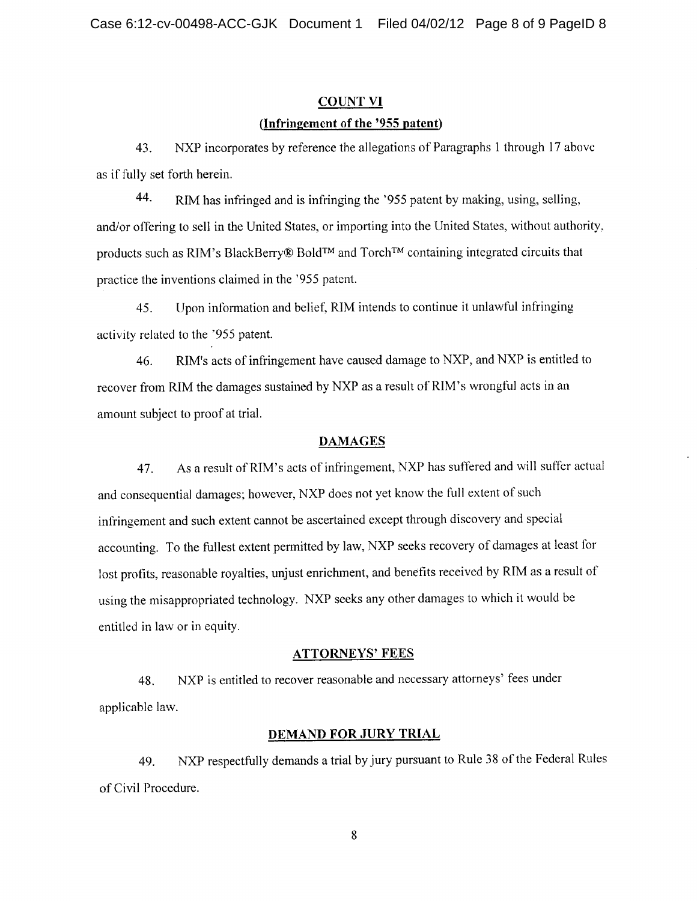# COUNT VI **(Infringement of the '955 patent)**

43. NXP incorporates by reference the allegations of Paragraphs 1 through 17 above as if fully set forth herein.

44. RIM has infringed and is infringing the '955 patent by making, using, selling, and/or offering to sell in the United States, or importing into the United States, without authority. products such as RIM's BlackBerry® Bold<sup>TM</sup> and Torch<sup>TM</sup> containing integrated circuits that practice the inventions claimed in the '955 patent.

45. Upon information and belief, RIM intends to continue it unlawful infringing activity related to the '955 patent.

46. RIM's acts of infringement have caused damage to NXP, and NXP is entitled to recover from RIM the damages sustained by NXP as a result of RIM's wrongful acts in an amount subject to proof at trial.

### **DAMAGES**

47. As a result of RIM's acts of infringement, NXP has suffered and will suffer actual and consequential damages; however, NXP does not yet know the full extent of such infringement and such extent cannot be ascertained except through discovery and special accounting. To the fullest extent permitted by law, NXP seeks recovery of damages at least for lost profits, reasonable royalties, unjust enrichment, and benefits received by RIM as a result of using the misappropriated technology. NXP seeks any other damages to which it would be entitled in law or in equity.

#### **ATTORNEYS' FEES**

48. NXP is entitled to recover reasonable and necessary attorneys' fees under applicable law.

#### **DEMAND FOR JURY TRIAL**

49. NXP respectfully demands a trial by jury pursuant to Rule 38 of the Federal Rules of Civil Procedure.